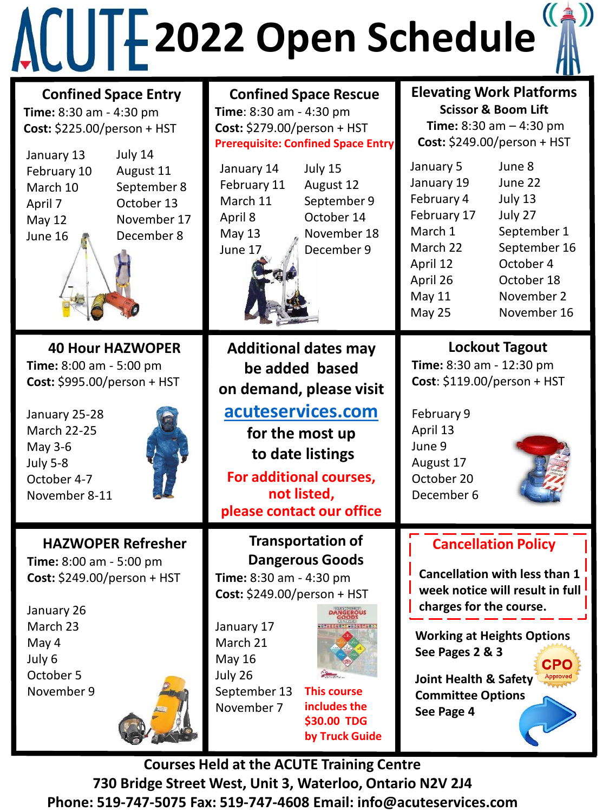

| <b>TILI</b>                                                                                                                                                                            |                                                                                                                                                                                                                                                                         |                                                                                                                                                                                                                                                                                                  |
|----------------------------------------------------------------------------------------------------------------------------------------------------------------------------------------|-------------------------------------------------------------------------------------------------------------------------------------------------------------------------------------------------------------------------------------------------------------------------|--------------------------------------------------------------------------------------------------------------------------------------------------------------------------------------------------------------------------------------------------------------------------------------------------|
| <b>Confined Space Entry</b><br>Time: 8:30 am - 4:30 pm<br>Cost: \$225.00/person + HST                                                                                                  | <b>Confined Space Rescue</b><br>Time: 8:30 am - 4:30 pm<br>Cost: \$279.00/person + HST<br><b>Prerequisite: Confined Space Entry</b>                                                                                                                                     | <b>Elevating Work Platforms</b><br><b>Scissor &amp; Boom Lift</b><br>Time: $8:30$ am $-4:30$ pm<br>Cost: \$249.00/person + HST                                                                                                                                                                   |
| July 14<br>January 13<br>February 10<br>August 11<br>March 10<br>September 8<br>October 13<br>April 7<br>November 17<br>May 12<br>December 8<br>June 16                                | January 14<br>July 15<br>February 11<br>August 12<br>March 11<br>September 9<br>October 14<br>April 8<br>November 18<br>May 13<br>December 9<br>June 17                                                                                                                 | June 8<br>January 5<br>June 22<br>January 19<br>February 4<br>July 13<br>February 17<br>July 27<br>March 1<br>September 1<br>September 16<br>March 22<br>October 4<br>April 12<br>April 26<br>October 18<br>May 11<br>November 2<br>May 25<br>November 16                                        |
| <b>40 Hour HAZWOPER</b><br>Time: 8:00 am - 5:00 pm<br>Cost: \$995.00/person + HST<br>January 25-28<br><b>March 22-25</b><br>May 3-6<br><b>July 5-8</b><br>October 4-7<br>November 8-11 | <b>Additional dates may</b><br>be added based<br>on demand, please visit<br>acuteservices.com<br>for the most up<br>to date listings<br>For additional courses,<br>not listed,<br>please contact our office                                                             | <b>Lockout Tagout</b><br>Time: 8:30 am - 12:30 pm<br>Cost: \$119.00/person + HST<br>February 9<br>April 13<br>June 9<br>August 17<br>October 20<br>December 6                                                                                                                                    |
| <b>HAZWOPER Refresher</b><br>Time: 8:00 am - 5:00 pm<br>Cost: $$249.00/person + HST$<br>January 26<br>March 23<br>May 4<br>July 6<br>October 5<br>November 9                           | <b>Transportation of</b><br><b>Dangerous Goods</b><br>Time: 8:30 am - 4:30 pm<br>Cost: \$249.00/person + HST<br>January 17<br>March 21<br><b>May 16</b><br>July 26<br>September 13<br><b>This course</b><br>includes the<br>November 7<br>\$30.00 TDG<br>by Truck Guide | <b>Cancellation Policy</b><br><b>Cancellation with less than 1</b><br>week notice will result in full<br>charges for the course.<br><b>Working at Heights Options</b><br>See Pages 2 & 3<br><b>CPO</b><br>Approved<br><b>Joint Health &amp; Safety</b><br><b>Committee Options</b><br>See Page 4 |

**Courses Held at the ACUTE Training Centre 730 Bridge Street West, Unit 3, Waterloo, Ontario N2V 2J4 Phone: 519-747-5075 Fax: 519-747-4608 Email: info@acuteservices.com**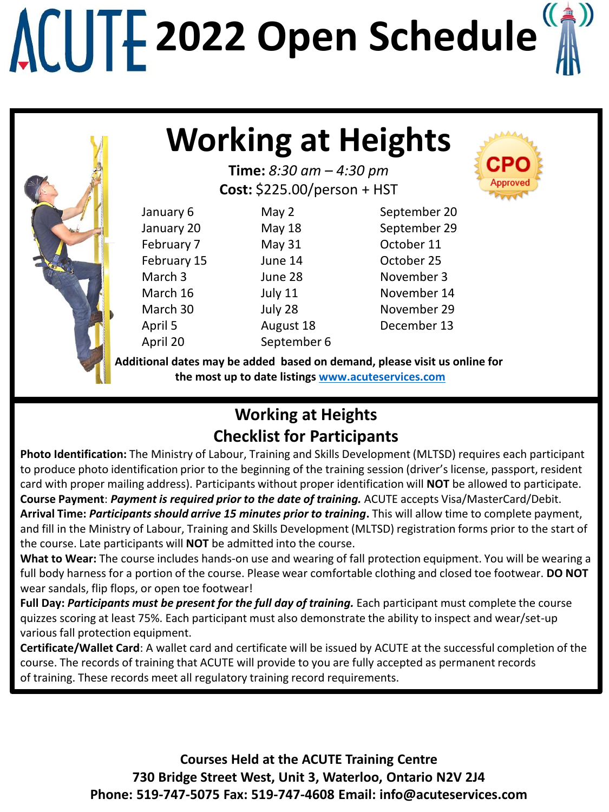

### **Working at Heights**

**Time:** *8:30 am – 4:30 pm* **Cost:** \$225.00/person + HST

| January 6          | May 2       | September 20 |
|--------------------|-------------|--------------|
| January 20         | May 18      | September 29 |
| February 7         | May 31      | October 11   |
| February 15        | June 14     | October 25   |
| March <sub>3</sub> | June 28     | November 3   |
| March 16           | July 11     | November 14  |
| March 30           | July 28     | November 29  |
| April 5            | August 18   | December 13  |
| April 20           | September 6 |              |
|                    |             |              |

**Additional dates may be added based on demand, please visit us online for the most up to date listings [www.acuteservices.com](http://www.acuteservices.com/)**

### **Working at Heights Checklist for Participants**

**Photo Identification:** The Ministry of Labour, Training and Skills Development (MLTSD) requires each participant to produce photo identification prior to the beginning of the training session (driver's license, passport, resident card with proper mailing address). Participants without proper identification will **NOT** be allowed to participate. **Course Payment**: *Payment is required prior to the date of training.* ACUTE accepts Visa/MasterCard/Debit.

**Arrival Time:** *Participants should arrive 15 minutes prior to training***.** This will allow time to complete payment, and fill in the Ministry of Labour, Training and Skills Development (MLTSD) registration forms prior to the start of the course. Late participants will **NOT** be admitted into the course.

**What to Wear:** The course includes hands-on use and wearing of fall protection equipment. You will be wearing a full body harness for a portion of the course. Please wear comfortable clothing and closed toe footwear. **DO NOT**  wear sandals, flip flops, or open toe footwear!

**Full Day:** *Participants must be present for the full day of training.* Each participant must complete the course quizzes scoring at least 75%. Each participant must also demonstrate the ability to inspect and wear/set-up various fall protection equipment.

**Certificate/Wallet Card**: A wallet card and certificate will be issued by ACUTE at the successful completion of the course. The records of training that ACUTE will provide to you are fully accepted as permanent records of training. These records meet all regulatory training record requirements.

> **Courses Held at the ACUTE Training Centre 730 Bridge Street West, Unit 3, Waterloo, Ontario N2V 2J4 Phone: 519-747-5075 Fax: 519-747-4608 Email: info@acuteservices.com**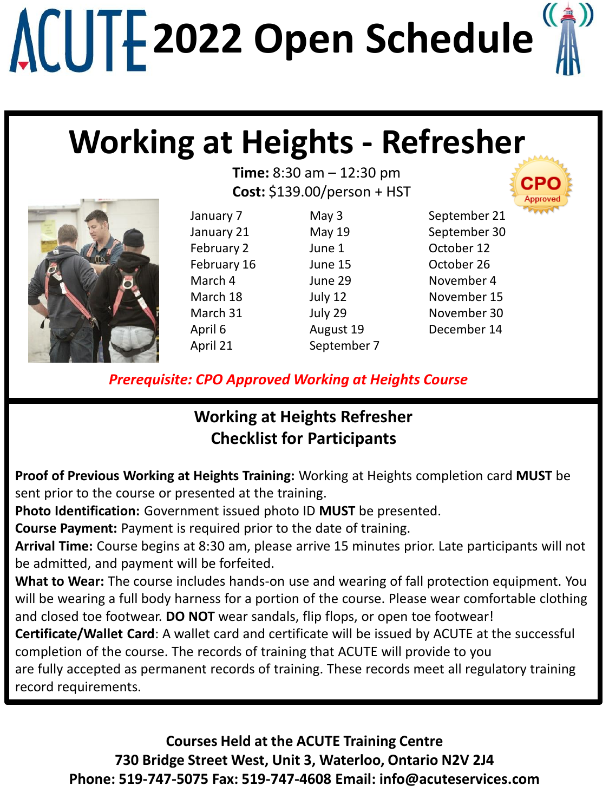## **Working at Heights - Refresher**

**Time:** 8:30 am – 12:30 pm **Cost:** \$139.00/person + HST

January 7 January 21 February 2 February 16 March 4 March 18 March 31 April 6 April 21

May 3 May 19 June 1 June 15 June 29 July 12 July 29 August 19 September 7 September 21 September 30 October 12 October 26 November 4 November 15 November 30 December 14

*Prerequisite: CPO Approved Working at Heights Course*

#### **Working at Heights Refresher Checklist for Participants**

**Proof of Previous Working at Heights Training:** Working at Heights completion card **MUST** be sent prior to the course or presented at the training.

**Photo Identification:** Government issued photo ID **MUST** be presented.

**Course Payment:** Payment is required prior to the date of training.

**Arrival Time:** Course begins at 8:30 am, please arrive 15 minutes prior. Late participants will not be admitted, and payment will be forfeited.

**What to Wear:** The course includes hands-on use and wearing of fall protection equipment. You will be wearing a full body harness for a portion of the course. Please wear comfortable clothing and closed toe footwear. **DO NOT** wear sandals, flip flops, or open toe footwear!

**Certificate/Wallet Card**: A wallet card and certificate will be issued by ACUTE at the successful completion of the course. The records of training that ACUTE will provide to you

are fully accepted as permanent records of training. These records meet all regulatory training record requirements.

**Courses Held at the ACUTE Training Centre 730 Bridge Street West, Unit 3, Waterloo, Ontario N2V 2J4 Phone: 519-747-5075 Fax: 519-747-4608 Email: info@acuteservices.com**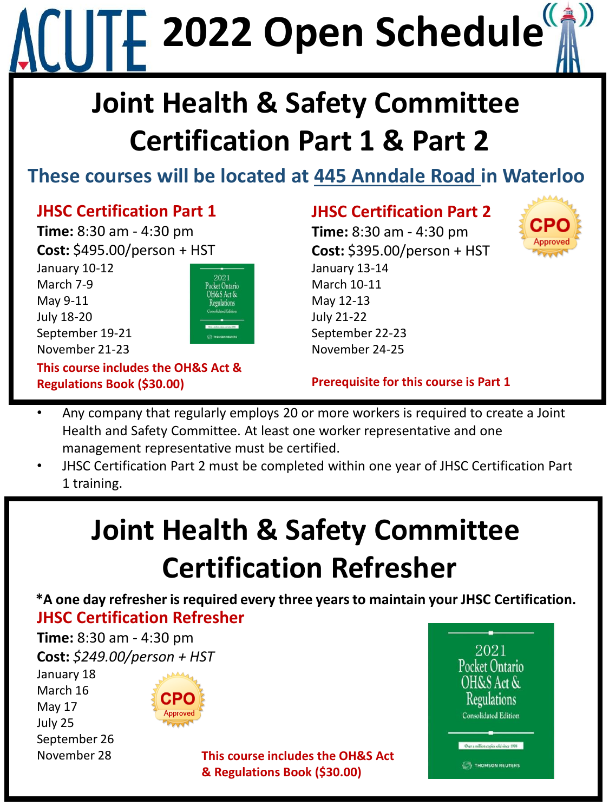## **Joint Health & Safety Committee Certification Part 1 & Part 2**

### **These courses will be located at 445 Anndale Road in Waterloo**

#### **JHSC Certification Part 1**

**Time:** 8:30 am - 4:30 pm **Cost:** \$495.00/person + HST January 10-12 March 7-9 May 9-11 July 18-20 September 19-21 November 21-23



**This course includes the OH&S Act & Regulations Book (\$30.00)**

#### **JHSC Certification Part 2**

**Time:** 8:30 am - 4:30 pm **Cost:** \$395.00/person + HST January 13-14 March 10-11 May 12-13 July 21-22 September 22-23 November 24-25



#### **Prerequisite for this course is Part 1**

- Any company that regularly employs 20 or more workers is required to create a Joint Health and Safety Committee. At least one worker representative and one management representative must be certified.
- JHSC Certification Part 2 must be completed within one year of JHSC Certification Part 1 training.

### **Joint Health & Safety Committee Certification Refresher**

**JHSC Certification Refresher \*A one day refresher is required every three years to maintain your JHSC Certification.** 

**Time:** 8:30 am - 4:30 pm **Cost:** *\$249.00/person + HST*

January 18 March 16 May 17 July 25 September 26



November 28 **This course includes the OH&S Act & Regulations Book (\$30.00)**